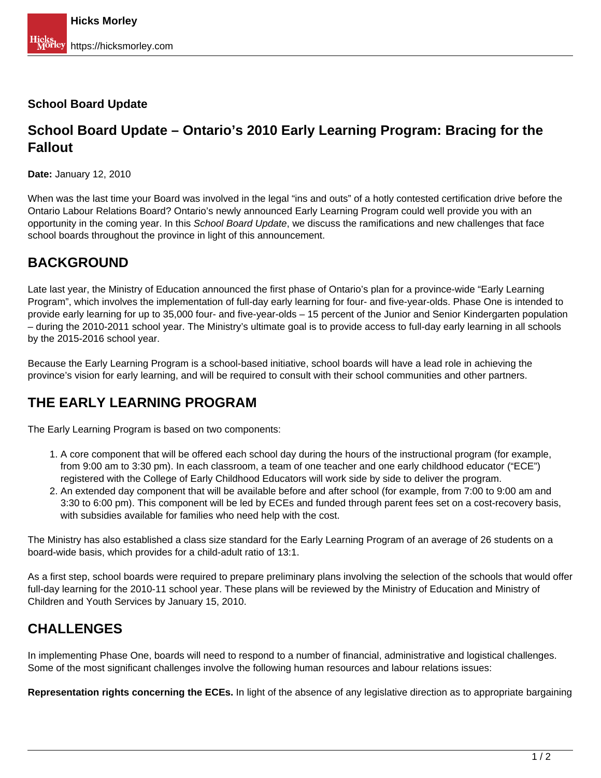### **School Board Update**

## **School Board Update – Ontario's 2010 Early Learning Program: Bracing for the Fallout**

**Date:** January 12, 2010

When was the last time your Board was involved in the legal "ins and outs" of a hotly contested certification drive before the Ontario Labour Relations Board? Ontario's newly announced Early Learning Program could well provide you with an opportunity in the coming year. In this School Board Update, we discuss the ramifications and new challenges that face school boards throughout the province in light of this announcement.

## **BACKGROUND**

Late last year, the Ministry of Education announced the first phase of Ontario's plan for a province-wide "Early Learning Program", which involves the implementation of full-day early learning for four- and five-year-olds. Phase One is intended to provide early learning for up to 35,000 four- and five-year-olds – 15 percent of the Junior and Senior Kindergarten population – during the 2010-2011 school year. The Ministry's ultimate goal is to provide access to full-day early learning in all schools by the 2015-2016 school year.

Because the Early Learning Program is a school-based initiative, school boards will have a lead role in achieving the province's vision for early learning, and will be required to consult with their school communities and other partners.

## **THE EARLY LEARNING PROGRAM**

The Early Learning Program is based on two components:

- 1. A core component that will be offered each school day during the hours of the instructional program (for example, from 9:00 am to 3:30 pm). In each classroom, a team of one teacher and one early childhood educator ("ECE") registered with the College of Early Childhood Educators will work side by side to deliver the program.
- 2. An extended day component that will be available before and after school (for example, from 7:00 to 9:00 am and 3:30 to 6:00 pm). This component will be led by ECEs and funded through parent fees set on a cost-recovery basis, with subsidies available for families who need help with the cost.

The Ministry has also established a class size standard for the Early Learning Program of an average of 26 students on a board-wide basis, which provides for a child-adult ratio of 13:1.

As a first step, school boards were required to prepare preliminary plans involving the selection of the schools that would offer full-day learning for the 2010-11 school year. These plans will be reviewed by the Ministry of Education and Ministry of Children and Youth Services by January 15, 2010.

# **CHALLENGES**

In implementing Phase One, boards will need to respond to a number of financial, administrative and logistical challenges. Some of the most significant challenges involve the following human resources and labour relations issues:

**Representation rights concerning the ECEs.** In light of the absence of any legislative direction as to appropriate bargaining